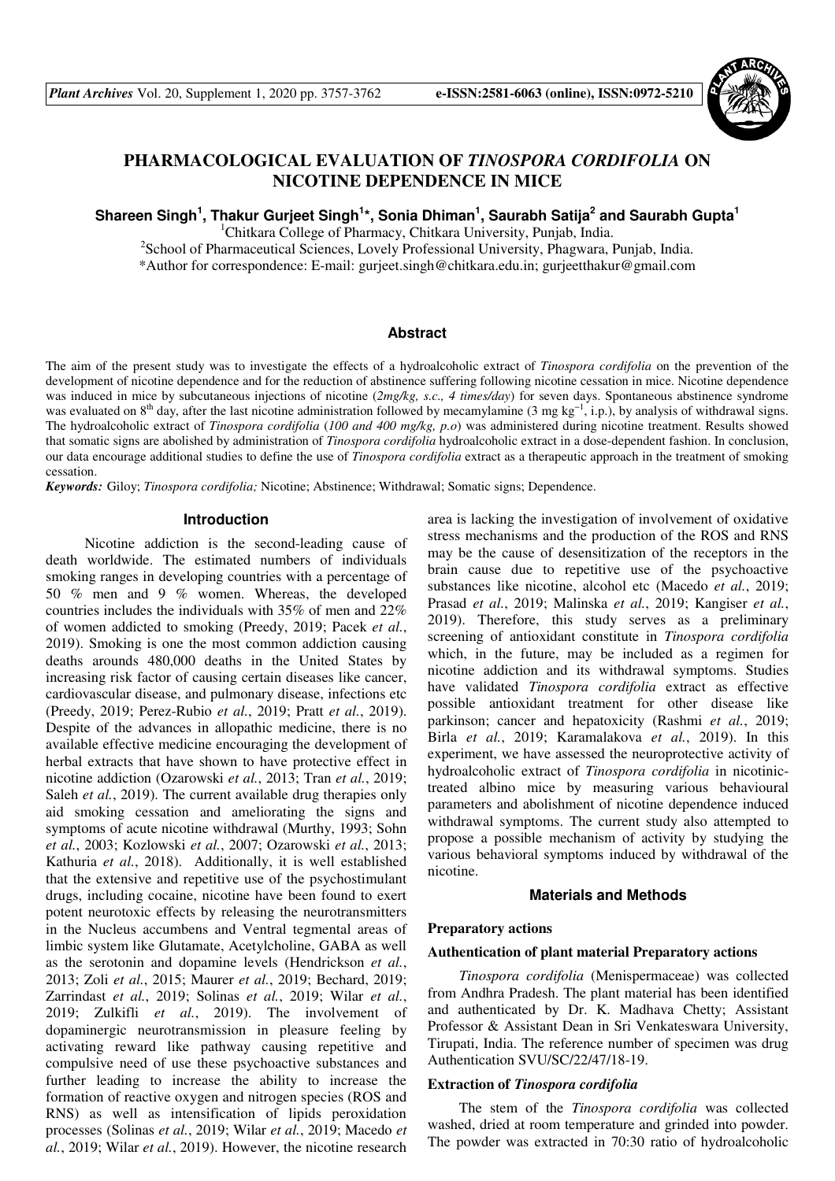

# **PHARMACOLOGICAL EVALUATION OF** *TINOSPORA CORDIFOLIA* **ON NICOTINE DEPENDENCE IN MICE**

**Shareen Singh<sup>1</sup> , Thakur Gurjeet Singh<sup>1</sup> \*, Sonia Dhiman<sup>1</sup> , Saurabh Satija<sup>2</sup> and Saurabh Gupta<sup>1</sup>**

<sup>1</sup>Chitkara College of Pharmacy, Chitkara University, Punjab, India.

<sup>2</sup>School of Pharmaceutical Sciences, Lovely Professional University, Phagwara, Punjab, India. \*Author for correspondence: E-mail: gurjeet.singh@chitkara.edu.in; gurjeetthakur@gmail.com

#### **Abstract**

The aim of the present study was to investigate the effects of a hydroalcoholic extract of *Tinospora cordifolia* on the prevention of the development of nicotine dependence and for the reduction of abstinence suffering following nicotine cessation in mice. Nicotine dependence was induced in mice by subcutaneous injections of nicotine (*2mg/kg, s.c., 4 times/day*) for seven days. Spontaneous abstinence syndrome was evaluated on 8<sup>th</sup> day, after the last nicotine administration followed by mecamylamine (3 mg kg<sup>-1</sup>, i.p.), by analysis of withdrawal signs. The hydroalcoholic extract of *Tinospora cordifolia* (*100 and 400 mg/kg, p.o*) was administered during nicotine treatment. Results showed that somatic signs are abolished by administration of *Tinospora cordifolia* hydroalcoholic extract in a dose-dependent fashion. In conclusion, our data encourage additional studies to define the use of *Tinospora cordifolia* extract as a therapeutic approach in the treatment of smoking cessation.

*Keywords:* Giloy; *Tinospora cordifolia;* Nicotine; Abstinence; Withdrawal; Somatic signs; Dependence.

### **Introduction**

 Nicotine addiction is the second-leading cause of death worldwide. The estimated numbers of individuals smoking ranges in developing countries with a percentage of 50 % men and 9 % women. Whereas, the developed countries includes the individuals with 35% of men and 22% of women addicted to smoking (Preedy, 2019; Pacek *et al.*, 2019). Smoking is one the most common addiction causing deaths arounds 480,000 deaths in the United States by increasing risk factor of causing certain diseases like cancer, cardiovascular disease, and pulmonary disease, infections etc (Preedy, 2019; Perez-Rubio *et al.*, 2019; Pratt *et al.*, 2019). Despite of the advances in allopathic medicine, there is no available effective medicine encouraging the development of herbal extracts that have shown to have protective effect in nicotine addiction (Ozarowski *et al.*, 2013; Tran *et al.*, 2019; Saleh *et al.*, 2019). The current available drug therapies only aid smoking cessation and ameliorating the signs and symptoms of acute nicotine withdrawal (Murthy, 1993; Sohn *et al.*, 2003; Kozlowski *et al.*, 2007; Ozarowski *et al.*, 2013; Kathuria *et al.*, 2018). Additionally, it is well established that the extensive and repetitive use of the psychostimulant drugs, including cocaine, nicotine have been found to exert potent neurotoxic effects by releasing the neurotransmitters in the Nucleus accumbens and Ventral tegmental areas of limbic system like Glutamate, Acetylcholine, GABA as well as the serotonin and dopamine levels (Hendrickson *et al.*, 2013; Zoli *et al.*, 2015; Maurer *et al.*, 2019; Bechard, 2019; Zarrindast *et al.*, 2019; Solinas *et al.*, 2019; Wilar *et al.*, 2019; Zulkifli *et al.*, 2019). The involvement of dopaminergic neurotransmission in pleasure feeling by activating reward like pathway causing repetitive and compulsive need of use these psychoactive substances and further leading to increase the ability to increase the formation of reactive oxygen and nitrogen species (ROS and RNS) as well as intensification of lipids peroxidation processes (Solinas *et al.*, 2019; Wilar *et al.*, 2019; Macedo *et al.*, 2019; Wilar *et al.*, 2019). However, the nicotine research

area is lacking the investigation of involvement of oxidative stress mechanisms and the production of the ROS and RNS may be the cause of desensitization of the receptors in the brain cause due to repetitive use of the psychoactive substances like nicotine, alcohol etc (Macedo *et al.*, 2019; Prasad *et al.*, 2019; Malinska *et al.*, 2019; Kangiser *et al.*, 2019). Therefore, this study serves as a preliminary screening of antioxidant constitute in *Tinospora cordifolia* which, in the future, may be included as a regimen for nicotine addiction and its withdrawal symptoms. Studies have validated *Tinospora cordifolia* extract as effective possible antioxidant treatment for other disease like parkinson; cancer and hepatoxicity (Rashmi *et al.*, 2019; Birla *et al.*, 2019; Karamalakova *et al.*, 2019). In this experiment, we have assessed the neuroprotective activity of hydroalcoholic extract of *Tinospora cordifolia* in nicotinictreated albino mice by measuring various behavioural parameters and abolishment of nicotine dependence induced withdrawal symptoms. The current study also attempted to propose a possible mechanism of activity by studying the various behavioral symptoms induced by withdrawal of the nicotine.

#### **Materials and Methods**

#### **Preparatory actions**

#### **Authentication of plant material Preparatory actions**

*Tinospora cordifolia* (Menispermaceae) was collected from Andhra Pradesh. The plant material has been identified and authenticated by Dr. K. Madhava Chetty; Assistant Professor & Assistant Dean in Sri Venkateswara University, Tirupati, India. The reference number of specimen was drug Authentication SVU/SC/22/47/18-19.

#### **Extraction of** *Tinospora cordifolia*

The stem of the *Tinospora cordifolia* was collected washed, dried at room temperature and grinded into powder. The powder was extracted in 70:30 ratio of hydroalcoholic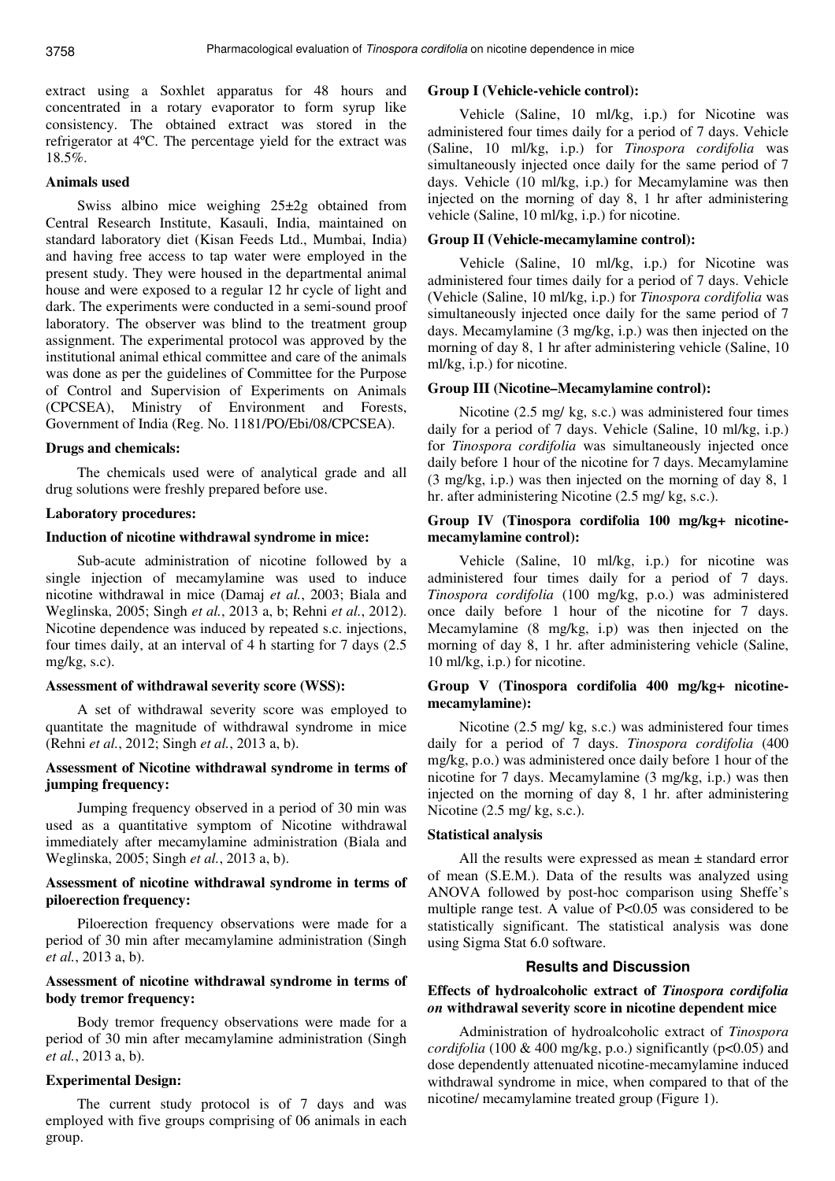extract using a Soxhlet apparatus for 48 hours and concentrated in a rotary evaporator to form syrup like consistency. The obtained extract was stored in the refrigerator at 4ºC. The percentage yield for the extract was 18.5%.

# **Animals used**

Swiss albino mice weighing 25±2g obtained from Central Research Institute, Kasauli, India, maintained on standard laboratory diet (Kisan Feeds Ltd., Mumbai, India) and having free access to tap water were employed in the present study. They were housed in the departmental animal house and were exposed to a regular 12 hr cycle of light and dark. The experiments were conducted in a semi-sound proof laboratory. The observer was blind to the treatment group assignment. The experimental protocol was approved by the institutional animal ethical committee and care of the animals was done as per the guidelines of Committee for the Purpose of Control and Supervision of Experiments on Animals (CPCSEA), Ministry of Environment and Forests, Government of India (Reg. No. 1181/PO/Ebi/08/CPCSEA).

#### **Drugs and chemicals:**

The chemicals used were of analytical grade and all drug solutions were freshly prepared before use.

### **Laboratory procedures:**

#### **Induction of nicotine withdrawal syndrome in mice:**

Sub-acute administration of nicotine followed by a single injection of mecamylamine was used to induce nicotine withdrawal in mice (Damaj *et al.*, 2003; Biala and Weglinska, 2005; Singh *et al.*, 2013 a, b; Rehni *et al.*, 2012). Nicotine dependence was induced by repeated s.c. injections, four times daily, at an interval of 4 h starting for 7 days (2.5 mg/kg, s.c).

#### **Assessment of withdrawal severity score (WSS):**

A set of withdrawal severity score was employed to quantitate the magnitude of withdrawal syndrome in mice (Rehni *et al.*, 2012; Singh *et al.*, 2013 a, b).

# **Assessment of Nicotine withdrawal syndrome in terms of jumping frequency:**

Jumping frequency observed in a period of 30 min was used as a quantitative symptom of Nicotine withdrawal immediately after mecamylamine administration (Biala and Weglinska, 2005; Singh *et al.*, 2013 a, b).

### **Assessment of nicotine withdrawal syndrome in terms of piloerection frequency:**

Piloerection frequency observations were made for a period of 30 min after mecamylamine administration (Singh *et al.*, 2013 a, b).

# **Assessment of nicotine withdrawal syndrome in terms of body tremor frequency:**

Body tremor frequency observations were made for a period of 30 min after mecamylamine administration (Singh *et al.*, 2013 a, b).

### **Experimental Design:**

The current study protocol is of 7 days and was employed with five groups comprising of 06 animals in each group.

### **Group I (Vehicle-vehicle control):**

Vehicle (Saline, 10 ml/kg, i.p.) for Nicotine was administered four times daily for a period of 7 days. Vehicle (Saline, 10 ml/kg, i.p.) for *Tinospora cordifolia* was simultaneously injected once daily for the same period of 7 days. Vehicle (10 ml/kg, i.p.) for Mecamylamine was then injected on the morning of day 8, 1 hr after administering vehicle (Saline, 10 ml/kg, i.p.) for nicotine.

### **Group II (Vehicle-mecamylamine control):**

Vehicle (Saline, 10 ml/kg, i.p.) for Nicotine was administered four times daily for a period of 7 days. Vehicle (Vehicle (Saline, 10 ml/kg, i.p.) for *Tinospora cordifolia* was simultaneously injected once daily for the same period of 7 days. Mecamylamine (3 mg/kg, i.p.) was then injected on the morning of day 8, 1 hr after administering vehicle (Saline, 10 ml/kg, i.p.) for nicotine.

#### **Group III (Nicotine–Mecamylamine control):**

Nicotine (2.5 mg/ kg, s.c.) was administered four times daily for a period of 7 days. Vehicle (Saline, 10 ml/kg, i.p.) for *Tinospora cordifolia* was simultaneously injected once daily before 1 hour of the nicotine for 7 days. Mecamylamine (3 mg/kg, i.p.) was then injected on the morning of day 8, 1 hr. after administering Nicotine (2.5 mg/ kg, s.c.).

# **Group IV (Tinospora cordifolia 100 mg/kg+ nicotinemecamylamine control):**

Vehicle (Saline, 10 ml/kg, i.p.) for nicotine was administered four times daily for a period of 7 days. *Tinospora cordifolia* (100 mg/kg, p.o.) was administered once daily before 1 hour of the nicotine for 7 days. Mecamylamine (8 mg/kg, i.p) was then injected on the morning of day 8, 1 hr. after administering vehicle (Saline, 10 ml/kg, i.p.) for nicotine.

### **Group V (Tinospora cordifolia 400 mg/kg+ nicotinemecamylamine):**

Nicotine (2.5 mg/ kg, s.c.) was administered four times daily for a period of 7 days. *Tinospora cordifolia* (400 mg/kg, p.o.) was administered once daily before 1 hour of the nicotine for 7 days. Mecamylamine (3 mg/kg, i.p.) was then injected on the morning of day 8, 1 hr. after administering Nicotine (2.5 mg/ kg, s.c.).

# **Statistical analysis**

All the results were expressed as mean  $\pm$  standard error of mean (S.E.M.). Data of the results was analyzed using ANOVA followed by post-hoc comparison using Sheffe's multiple range test. A value of P<0.05 was considered to be statistically significant. The statistical analysis was done using Sigma Stat 6.0 software.

### **Results and Discussion**

### **Effects of hydroalcoholic extract of** *Tinospora cordifolia on* **withdrawal severity score in nicotine dependent mice**

Administration of hydroalcoholic extract of *Tinospora cordifolia* (100 & 400 mg/kg, p.o.) significantly (p<0.05) and dose dependently attenuated nicotine-mecamylamine induced withdrawal syndrome in mice, when compared to that of the nicotine/ mecamylamine treated group (Figure 1).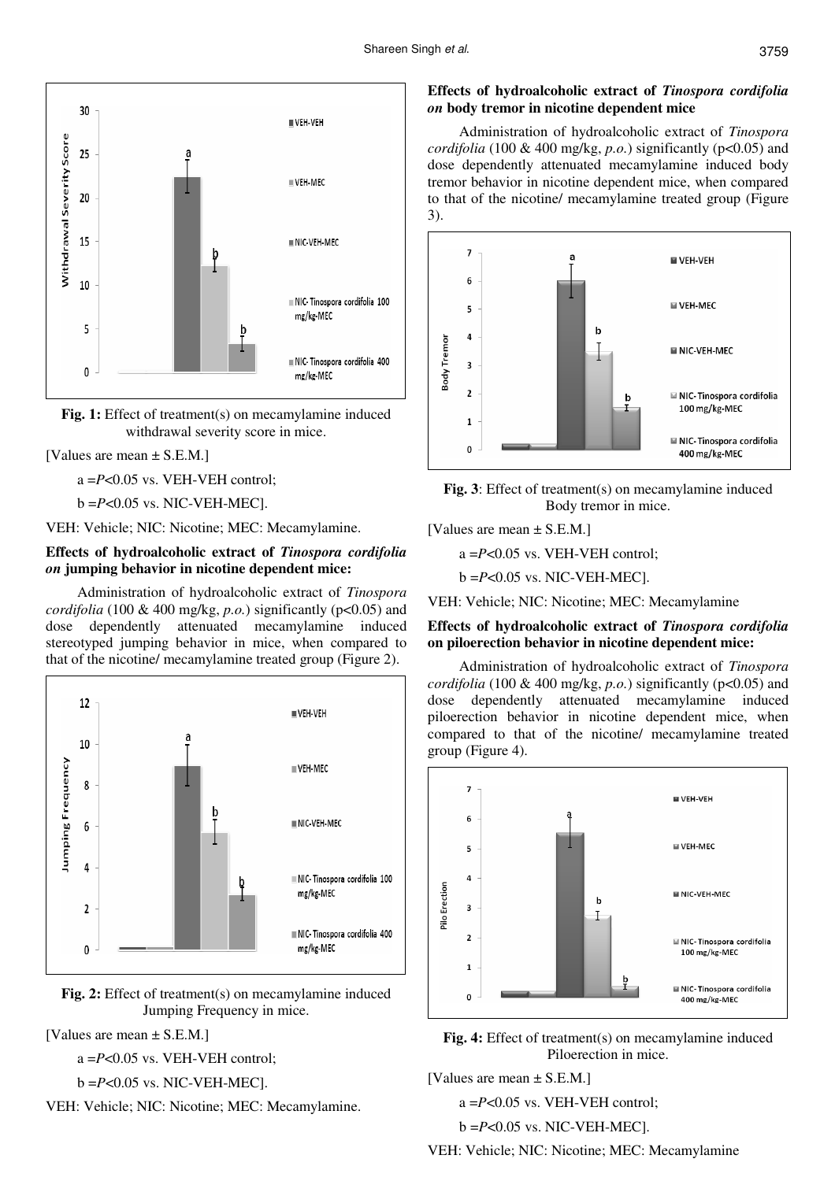

**Fig. 1:** Effect of treatment(s) on mecamylamine induced withdrawal severity score in mice.

### [Values are mean ± S.E.M.]

a =*P*<0.05 vs. VEH-VEH control;

b =*P*<0.05 vs. NIC-VEH-MEC].

VEH: Vehicle; NIC: Nicotine; MEC: Mecamylamine.

### **Effects of hydroalcoholic extract of** *Tinospora cordifolia on* **jumping behavior in nicotine dependent mice:**

Administration of hydroalcoholic extract of *Tinospora cordifolia* (100 & 400 mg/kg, *p.o.*) significantly (p<0.05) and dose dependently attenuated mecamylamine induced stereotyped jumping behavior in mice, when compared to that of the nicotine/ mecamylamine treated group (Figure 2).



**Fig. 2:** Effect of treatment(s) on mecamylamine induced Jumping Frequency in mice.

[Values are mean ± S.E.M.]

a =*P*<0.05 vs. VEH-VEH control;

$$
b = P < 0.05 \text{ vs. NIC-VEH-MEC}.
$$

VEH: Vehicle; NIC: Nicotine; MEC: Mecamylamine.

### **Effects of hydroalcoholic extract of** *Tinospora cordifolia on* **body tremor in nicotine dependent mice**

Administration of hydroalcoholic extract of *Tinospora cordifolia* (100 & 400 mg/kg,  $p.o.$ ) significantly ( $p<0.05$ ) and dose dependently attenuated mecamylamine induced body tremor behavior in nicotine dependent mice, when compared to that of the nicotine/ mecamylamine treated group (Figure 3).





[Values are mean ± S.E.M.]

a =*P*<0.05 vs. VEH-VEH control;

b =*P*<0.05 vs. NIC-VEH-MEC].

VEH: Vehicle; NIC: Nicotine; MEC: Mecamylamine

# **Effects of hydroalcoholic extract of** *Tinospora cordifolia* **on piloerection behavior in nicotine dependent mice:**

Administration of hydroalcoholic extract of *Tinospora cordifolia* (100 & 400 mg/kg, *p.o.*) significantly (p<0.05) and dose dependently attenuated mecamylamine induced piloerection behavior in nicotine dependent mice, when compared to that of the nicotine/ mecamylamine treated group (Figure 4).





[Values are mean ± S.E.M.]

a =*P*<0.05 vs. VEH-VEH control;

b =*P*<0.05 vs. NIC-VEH-MEC].

VEH: Vehicle; NIC: Nicotine; MEC: Mecamylamine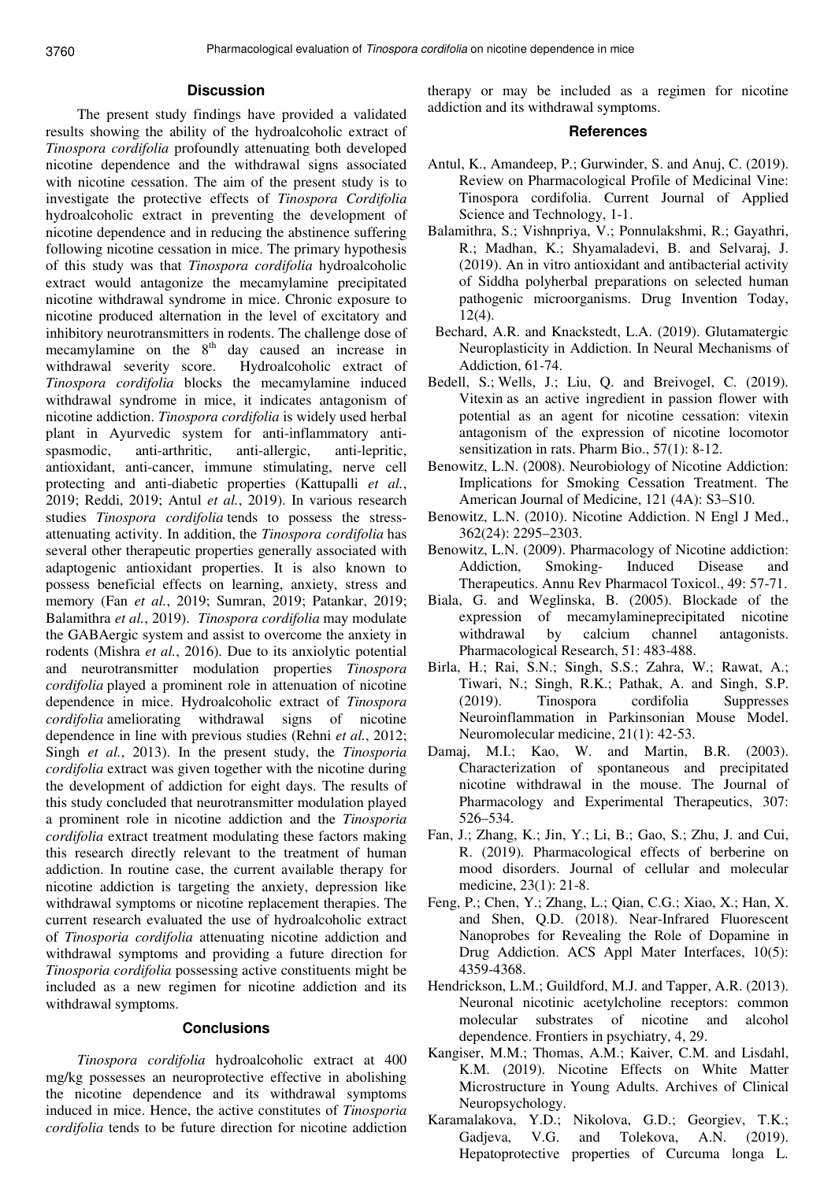#### **Discussion**

The present study findings have provided a validated results showing the ability of the hydroalcoholic extract of *Tinospora cordifolia* profoundly attenuating both developed nicotine dependence and the withdrawal signs associated with nicotine cessation. The aim of the present study is to investigate the protective effects of *Tinospora Cordifolia* hydroalcoholic extract in preventing the development of nicotine dependence and in reducing the abstinence suffering following nicotine cessation in mice. The primary hypothesis of this study was that *Tinospora cordifolia* hydroalcoholic extract would antagonize the mecamylamine precipitated nicotine withdrawal syndrome in mice. Chronic exposure to nicotine produced alternation in the level of excitatory and inhibitory neurotransmitters in rodents. The challenge dose of mecamylamine on the  $8<sup>th</sup>$  day caused an increase in withdrawal severity score. Hydroalcoholic extract of *Tinospora cordifolia* blocks the mecamylamine induced withdrawal syndrome in mice, it indicates antagonism of nicotine addiction. *Tinospora cordifolia* is widely used herbal plant in Ayurvedic system for anti-inflammatory antispasmodic, anti-arthritic, anti-allergic, anti-lepritic, antioxidant, anti-cancer, immune stimulating, nerve cell protecting and anti-diabetic properties (Kattupalli *et al.*, 2019; Reddi, 2019; Antul *et al.*, 2019). In various research studies *Tinospora cordifolia* tends to possess the stressattenuating activity. In addition, the *Tinospora cordifolia* has several other therapeutic properties generally associated with adaptogenic antioxidant properties. It is also known to possess beneficial effects on learning, anxiety, stress and memory (Fan *et al.*, 2019; Sumran, 2019; Patankar, 2019; Balamithra *et al.*, 2019). *Tinospora cordifolia* may modulate the GABAergic system and assist to overcome the anxiety in rodents (Mishra *et al.*, 2016). Due to its anxiolytic potential and neurotransmitter modulation properties *Tinospora cordifolia* played a prominent role in attenuation of nicotine dependence in mice. Hydroalcoholic extract of *Tinospora cordifolia* ameliorating withdrawal signs of nicotine dependence in line with previous studies (Rehni *et al.*, 2012; Singh *et al.*, 2013). In the present study, the *Tinosporia cordifolia* extract was given together with the nicotine during the development of addiction for eight days. The results of this study concluded that neurotransmitter modulation played a prominent role in nicotine addiction and the *Tinosporia cordifolia* extract treatment modulating these factors making this research directly relevant to the treatment of human addiction. In routine case, the current available therapy for nicotine addiction is targeting the anxiety, depression like withdrawal symptoms or nicotine replacement therapies. The current research evaluated the use of hydroalcoholic extract of *Tinosporia cordifolia* attenuating nicotine addiction and withdrawal symptoms and providing a future direction for *Tinosporia cordifolia* possessing active constituents might be included as a new regimen for nicotine addiction and its withdrawal symptoms.

#### **Conclusions**

*Tinospora cordifolia* hydroalcoholic extract at 400 mg/kg possesses an neuroprotective effective in abolishing the nicotine dependence and its withdrawal symptoms induced in mice. Hence, the active constitutes of *Tinosporia cordifolia* tends to be future direction for nicotine addiction therapy or may be included as a regimen for nicotine addiction and its withdrawal symptoms.

#### **References**

- Antul, K., Amandeep, P.; Gurwinder, S. and Anuj, C. (2019). Review on Pharmacological Profile of Medicinal Vine: Tinospora cordifolia. Current Journal of Applied Science and Technology, 1-1.
- Balamithra, S.; Vishnpriya, V.; Ponnulakshmi, R.; Gayathri, R.; Madhan, K.; Shyamaladevi, B. and Selvaraj, J. (2019). An in vitro antioxidant and antibacterial activity of Siddha polyherbal preparations on selected human pathogenic microorganisms. Drug Invention Today, 12(4).
- Bechard, A.R. and Knackstedt, L.A. (2019). Glutamatergic Neuroplasticity in Addiction. In Neural Mechanisms of Addiction, 61-74.
- Bedell, S.; Wells, J.; Liu, Q. and Breivogel, C. (2019). Vitexin as an active ingredient in passion flower with potential as an agent for nicotine cessation: vitexin antagonism of the expression of nicotine locomotor sensitization in rats. Pharm Bio., 57(1): 8-12.
- Benowitz, L.N. (2008). Neurobiology of Nicotine Addiction: Implications for Smoking Cessation Treatment. The American Journal of Medicine, 121 (4A): S3–S10.
- Benowitz, L.N. (2010). Nicotine Addiction. N Engl J Med., 362(24): 2295–2303.
- Benowitz, L.N. (2009). Pharmacology of Nicotine addiction: Addiction, Smoking- Induced Disease and Therapeutics. Annu Rev Pharmacol Toxicol., 49: 57-71.
- Biala, G. and Weglinska, B. (2005). Blockade of the expression of mecamylamineprecipitated nicotine withdrawal by calcium channel antagonists. Pharmacological Research, 51: 483-488.
- Birla, H.; Rai, S.N.; Singh, S.S.; Zahra, W.; Rawat, A.; Tiwari, N.; Singh, R.K.; Pathak, A. and Singh, S.P. (2019). Tinospora cordifolia Suppresses Neuroinflammation in Parkinsonian Mouse Model. Neuromolecular medicine, 21(1): 42-53.
- Damaj, M.I.; Kao, W. and Martin, B.R. (2003). Characterization of spontaneous and precipitated nicotine withdrawal in the mouse. The Journal of Pharmacology and Experimental Therapeutics, 307: 526–534.
- Fan, J.; Zhang, K.; Jin, Y.; Li, B.; Gao, S.; Zhu, J. and Cui, R. (2019). Pharmacological effects of berberine on mood disorders. Journal of cellular and molecular medicine, 23(1): 21-8.
- Feng, P.; Chen, Y.; Zhang, L.; Qian, C.G.; Xiao, X.; Han, X. and Shen, Q.D. (2018). Near-Infrared Fluorescent Nanoprobes for Revealing the Role of Dopamine in Drug Addiction. ACS Appl Mater Interfaces, 10(5): 4359-4368.
- Hendrickson, L.M.; Guildford, M.J. and Tapper, A.R. (2013). Neuronal nicotinic acetylcholine receptors: common molecular substrates of nicotine and alcohol dependence. Frontiers in psychiatry, 4, 29.
- Kangiser, M.M.; Thomas, A.M.; Kaiver, C.M. and Lisdahl, K.M. (2019). Nicotine Effects on White Matter Microstructure in Young Adults. Archives of Clinical Neuropsychology.
- Karamalakova, Y.D.; Nikolova, G.D.; Georgiev, T.K.; Gadjeva, V.G. and Tolekova, A.N. (2019). Hepatoprotective properties of Curcuma longa L.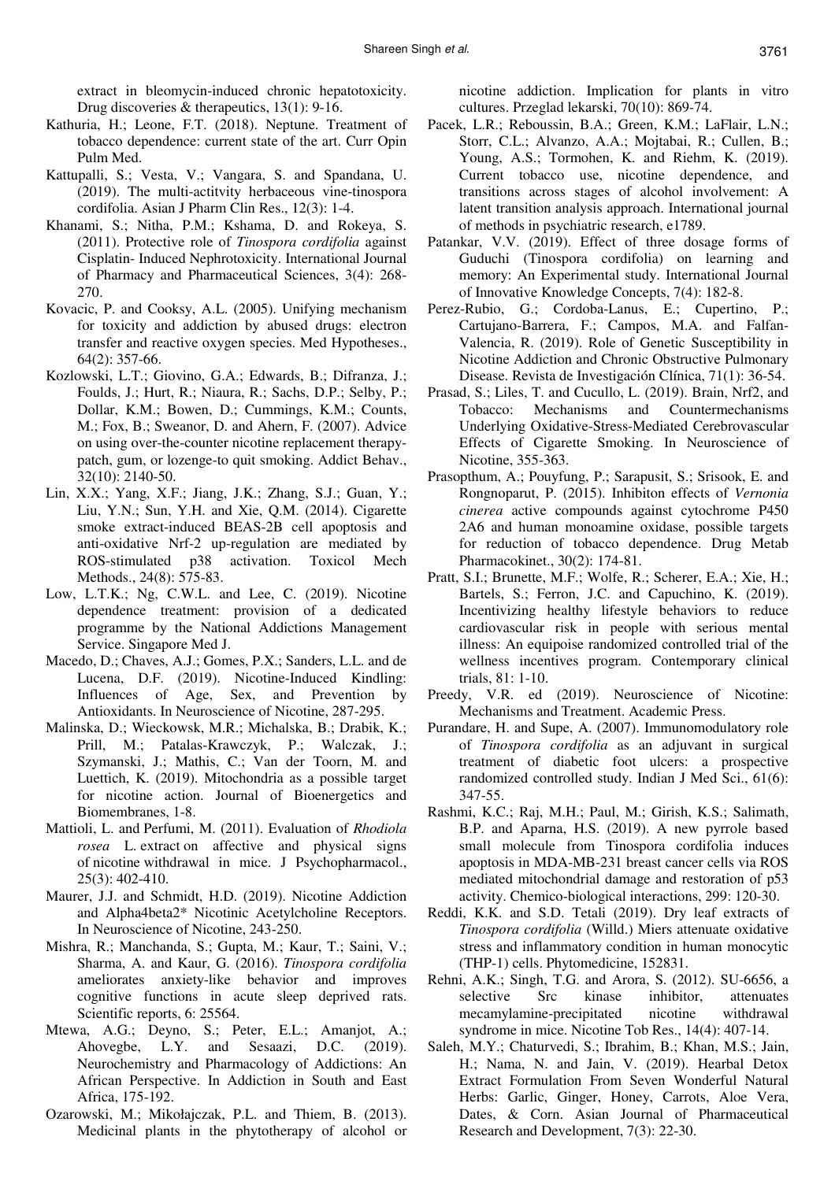extract in bleomycin-induced chronic hepatotoxicity. Drug discoveries & therapeutics, 13(1): 9-16.

- Kathuria, H.; Leone, F.T. (2018). Neptune. Treatment of tobacco dependence: current state of the art. Curr Opin Pulm Med.
- Kattupalli, S.; Vesta, V.; Vangara, S. and Spandana, U. (2019). The multi-actitvity herbaceous vine-tinospora cordifolia. Asian J Pharm Clin Res., 12(3): 1-4.
- Khanami, S.; Nitha, P.M.; Kshama, D. and Rokeya, S. (2011). Protective role of *Tinospora cordifolia* against Cisplatin- Induced Nephrotoxicity. International Journal of Pharmacy and Pharmaceutical Sciences, 3(4): 268- 270.
- Kovacic, P. and Cooksy, A.L. (2005). Unifying mechanism for toxicity and addiction by abused drugs: electron transfer and reactive oxygen species. Med Hypotheses., 64(2): 357-66.
- Kozlowski, L.T.; Giovino, G.A.; Edwards, B.; Difranza, J.; Foulds, J.; Hurt, R.; Niaura, R.; Sachs, D.P.; Selby, P.; Dollar, K.M.; Bowen, D.; Cummings, K.M.; Counts, M.; Fox, B.; Sweanor, D. and Ahern, F. (2007). Advice on using over-the-counter nicotine replacement therapypatch, gum, or lozenge-to quit smoking. Addict Behav., 32(10): 2140-50.
- Lin, X.X.; Yang, X.F.; Jiang, J.K.; Zhang, S.J.; Guan, Y.; Liu, Y.N.; Sun, Y.H. and Xie, Q.M. (2014). Cigarette smoke extract-induced BEAS-2B cell apoptosis and anti-oxidative Nrf-2 up-regulation are mediated by ROS-stimulated p38 activation. Toxicol Mech Methods., 24(8): 575-83.
- Low, L.T.K.; Ng, C.W.L. and Lee, C. (2019). Nicotine dependence treatment: provision of a dedicated programme by the National Addictions Management Service. Singapore Med J.
- Macedo, D.; Chaves, A.J.; Gomes, P.X.; Sanders, L.L. and de Lucena, D.F. (2019). Nicotine-Induced Kindling: Influences of Age, Sex, and Prevention by Antioxidants. In Neuroscience of Nicotine, 287-295.
- Malinska, D.; Wieckowsk, M.R.; Michalska, B.; Drabik, K.; Prill, M.; Patalas-Krawczyk, P.; Walczak, J.; Szymanski, J.; Mathis, C.; Van der Toorn, M. and Luettich, K. (2019). Mitochondria as a possible target for nicotine action. Journal of Bioenergetics and Biomembranes, 1-8.
- Mattioli, L. and Perfumi, M. (2011). Evaluation of *Rhodiola rosea* L. extract on affective and physical signs of nicotine withdrawal in mice. J Psychopharmacol., 25(3): 402-410.
- Maurer, J.J. and Schmidt, H.D. (2019). Nicotine Addiction and Alpha4beta2\* Nicotinic Acetylcholine Receptors. In Neuroscience of Nicotine, 243-250.
- Mishra, R.; Manchanda, S.; Gupta, M.; Kaur, T.; Saini, V.; Sharma, A. and Kaur, G. (2016). *Tinospora cordifolia* ameliorates anxiety-like behavior and improves cognitive functions in acute sleep deprived rats. Scientific reports, 6: 25564.
- Mtewa, A.G.; Deyno, S.; Peter, E.L.; Amanjot, A.; Ahovegbe, L.Y. and Sesaazi, D.C. (2019). Neurochemistry and Pharmacology of Addictions: An African Perspective. In Addiction in South and East Africa, 175-192.
- Ozarowski, M.; Mikołajczak, P.L. and Thiem, B. (2013). Medicinal plants in the phytotherapy of alcohol or

nicotine addiction. Implication for plants in vitro cultures. Przeglad lekarski, 70(10): 869-74.

- Pacek, L.R.; Reboussin, B.A.; Green, K.M.; LaFlair, L.N.; Storr, C.L.; Alvanzo, A.A.; Mojtabai, R.; Cullen, B.; Young, A.S.; Tormohen, K. and Riehm, K. (2019). Current tobacco use, nicotine dependence, and transitions across stages of alcohol involvement: A latent transition analysis approach. International journal of methods in psychiatric research, e1789.
- Patankar, V.V. (2019). Effect of three dosage forms of Guduchi (Tinospora cordifolia) on learning and memory: An Experimental study. International Journal of Innovative Knowledge Concepts, 7(4): 182-8.
- Perez-Rubio, G.; Cordoba-Lanus, E.; Cupertino, P.; Cartujano-Barrera, F.; Campos, M.A. and Falfan-Valencia, R. (2019). Role of Genetic Susceptibility in Nicotine Addiction and Chronic Obstructive Pulmonary Disease. Revista de Investigación Clínica, 71(1): 36-54.
- Prasad, S.; Liles, T. and Cucullo, L. (2019). Brain, Nrf2, and Tobacco: Mechanisms and Countermechanisms Underlying Oxidative-Stress-Mediated Cerebrovascular Effects of Cigarette Smoking. In Neuroscience of Nicotine, 355-363.
- Prasopthum, A.; Pouyfung, P.; Sarapusit, S.; Srisook, E. and Rongnoparut, P. (2015). Inhibiton effects of *Vernonia cinerea* active compounds against cytochrome P450 2A6 and human monoamine oxidase, possible targets for reduction of tobacco dependence. Drug Metab Pharmacokinet., 30(2): 174-81.
- Pratt, S.I.; Brunette, M.F.; Wolfe, R.; Scherer, E.A.; Xie, H.; Bartels, S.; Ferron, J.C. and Capuchino, K. (2019). Incentivizing healthy lifestyle behaviors to reduce cardiovascular risk in people with serious mental illness: An equipoise randomized controlled trial of the wellness incentives program. Contemporary clinical trials, 81: 1-10.
- Preedy, V.R. ed (2019). Neuroscience of Nicotine: Mechanisms and Treatment. Academic Press.
- Purandare, H. and Supe, A. (2007). Immunomodulatory role of *Tinospora cordifolia* as an adjuvant in surgical treatment of diabetic foot ulcers: a prospective randomized controlled study. Indian J Med Sci., 61(6): 347-55.
- Rashmi, K.C.; Raj, M.H.; Paul, M.; Girish, K.S.; Salimath, B.P. and Aparna, H.S. (2019). A new pyrrole based small molecule from Tinospora cordifolia induces apoptosis in MDA-MB-231 breast cancer cells via ROS mediated mitochondrial damage and restoration of p53 activity. Chemico-biological interactions, 299: 120-30.
- Reddi, K.K. and S.D. Tetali (2019). Dry leaf extracts of *Tinospora cordifolia* (Willd.) Miers attenuate oxidative stress and inflammatory condition in human monocytic (THP-1) cells. Phytomedicine, 152831.
- Rehni, A.K.; Singh, T.G. and Arora, S. (2012). SU-6656, a selective Src kinase inhibitor, attenuates mecamylamine-precipitated nicotine withdrawal syndrome in mice. Nicotine Tob Res., 14(4): 407-14.
- Saleh, M.Y.; Chaturvedi, S.; Ibrahim, B.; Khan, M.S.; Jain, H.; Nama, N. and Jain, V. (2019). Hearbal Detox Extract Formulation From Seven Wonderful Natural Herbs: Garlic, Ginger, Honey, Carrots, Aloe Vera, Dates, & Corn. Asian Journal of Pharmaceutical Research and Development, 7(3): 22-30.